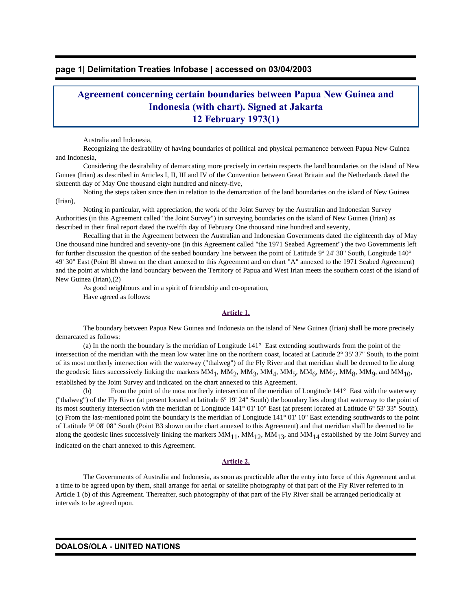## **page 1| Delimitation Treaties Infobase | accessed on 03/04/2003**

# **Agreement concerning certain boundaries between Papua New Guinea and Indonesia (with chart). Signed at Jakarta 12 February 1973(1)**

Australia and Indonesia,

 Recognizing the desirability of having boundaries of political and physical permanence between Papua New Guinea and Indonesia,

 Considering the desirability of demarcating more precisely in certain respects the land boundaries on the island of New Guinea (Irian) as described in Articles I, II, III and IV of the Convention between Great Britain and the Netherlands dated the sixteenth day of May One thousand eight hundred and ninety-five,

 Noting the steps taken since then in relation to the demarcation of the land boundaries on the island of New Guinea (Irian),

 Noting in particular, with appreciation, the work of the Joint Survey by the Australian and Indonesian Survey Authorities (in this Agreement called "the Joint Survey") in surveying boundaries on the island of New Guinea (Irian) as described in their final report dated the twelfth day of February One thousand nine hundred and seventy,

 Recalling that in the Agreement between the Australian and Indonesian Governments dated the eighteenth day of May One thousand nine hundred and seventy-one (in this Agreement called "the 1971 Seabed Agreement") the two Governments left for further discussion the question of the seabed boundary line between the point of Latitude 9° 24' 30" South, Longitude 140° 49' 30" East (Point Bl shown on the chart annexed to this Agreement and on chart "A" annexed to the 1971 Seabed Agreement) and the point at which the land boundary between the Territory of Papua and West Irian meets the southern coast of the island of New Guinea (Irian),(2)

 As good neighbours and in a spirit of friendship and co-operation, Have agreed as follows:

#### **Article 1.**

 The boundary between Papua New Guinea and Indonesia on the island of New Guinea (Irian) shall be more precisely demarcated as follows:

 (a) In the north the boundary is the meridian of Longitude 141° East extending southwards from the point of the intersection of the meridian with the mean low water line on the northern coast, located at Latitude 2° 35' 37" South, to the point of its most northerly intersection with the waterway ("thalweg") of the Fly River and that meridian shall be deemed to lie along the geodesic lines successively linking the markers  $MM_1$ ,  $MM_2$ ,  $MM_3$ ,  $MM_4$ ,  $MM_5$ ,  $MM_6$ ,  $MM_7$ ,  $MM_8$ ,  $MM_9$ , and  $MM_{10}$ , established by the Joint Survey and indicated on the chart annexed to this Agreement.

 (b) From the point of the most northerly intersection of the meridian of Longitude 141° East with the waterway ("thalweg") of the Fly River (at present located at latitude 6° 19' 24" South) the boundary lies along that waterway to the point of its most southerly intersection with the meridian of Longitude 141° 01' 10" East (at present located at Latitude 6° 53' 33" South). (c) From the last-mentioned point the boundary is the meridian of Longitude 141° 01' 10" East extending southwards to the point of Latitude 9° 08' 08" South (Point B3 shown on the chart annexed to this Agreement) and that meridian shall be deemed to lie along the geodesic lines successively linking the markers  $MM_{11}$ ,  $MM_{12}$ ,  $MM_{13}$ , and  $MM_{14}$  established by the Joint Survey and indicated on the chart annexed to this Agreement.

#### **Article 2.**

 The Governments of Australia and Indonesia, as soon as practicable after the entry into force of this Agreement and at a time to be agreed upon by them, shall arrange for aerial or satellite photography of that part of the Fly River referred to in Article 1 (b) of this Agreement. Thereafter, such photography of that part of the Fly River shall be arranged periodically at intervals to be agreed upon.

#### **DOALOS/OLA - UNITED NATIONS**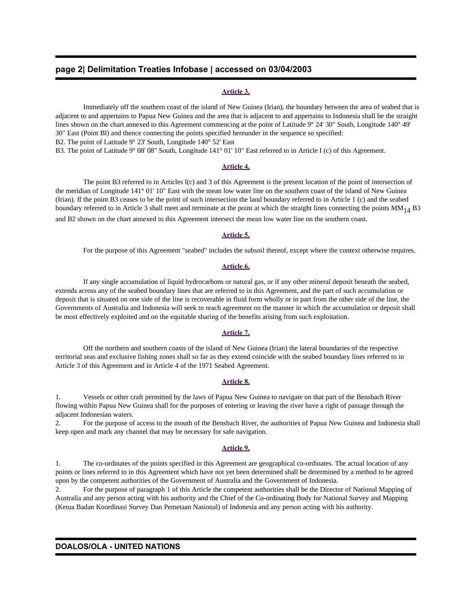## **page 2| Delimitation Treaties Infobase | accessed on 03/04/2003**

#### **Article 3.**

 Immediately off the southern coast of the island of New Guinea (Irian), the boundary between the area of seabed that is adjacent to and appertains to Papua New Guinea and the area that is adjacent to and appertains to Indonesia shall be the straight lines shown on the chart annexed to this Agreement commencing at the point of Latitude 9° 24' 30" South, Longitude 140° 49' 30" East (Point Bl) and thence connecting the points specified hereunder in the sequence so specified: B2. The point of Latitude 9° 23' South, Longitude 140° 52' East

B3. The point of Latitude 9° 08' 08" South, Longitude 141° 01' 10" East referred to in Article I (c) of this Agreement.

#### **Article 4.**

 The point B3 referred to in Articles l(c) and 3 of this Agreement is the present location of the point of intersection of the meridian of Longitude 141° 01' 10" East with the mean low water line on the southern coast of the island of New Guinea (Irian). If the point B3 ceases to be the point of such intersection the land boundary referred to in Article 1 (c) and the seabed boundary referred to in Article 3 shall meet and terminate at the point at which the straight lines connecting the points  $MM_{14} B3$ and B2 shown on the chart annexed to this Agreement intersect the mean low water line on the southern coast.

### **Article 5.**

For the purpose of this Agreement "seabed" includes the subsoil thereof, except where the context otherwise requires.

#### **Article 6.**

 If any single accumulation of liquid hydrocarbons or natural gas, or if any other mineral deposit beneath the seabed, extends across any of the seabed boundary lines that are referred to in this Agreement, and the part of such accumulation or deposit that is situated on one side of the line is recoverable in fluid form wholly or in part from the other side of the line, the Governments of Australia and Indonesia will seek to reach agreement on the manner in which the accumulation or deposit shall be most effectively exploited and on the equitable sharing of the benefits arising from such exploitation.

#### **Article 7.**

 Off the northern and southern coasts of the island of New Guinea (Irian) the lateral boundaries of the respective territorial seas and exclusive fishing zones shall so far as they extend coincide with the seabed boundary lines referred to in Article 3 of this Agreement and in Article 4 of the 1971 Seabed Agreement.

#### **Article 8.**

1. Vessels or other craft permitted by the laws of Papua New Guinea to navigate on that part of the Bensbach River flowing within Papua New Guinea shall for the purposes of entering or leaving the river have a right of passage through the adjacent Indonesian waters.

2. For the purpose of access to the mouth of the Bensbach River, the authorities of Papua New Guinea and Indonesia shall keep open and mark any channel that may be necessary for safe navigation.

#### **Article 9.**

1. The co-ordinates of the points specified in this Agreement are geographical co-ordinates. The actual location of any points or lines referred to in this Agreement which have not yet been determined shall be determined by a method to be agreed upon by the competent authorities of the Government of Australia and the Government of Indonesia.

2. For the purpose of paragraph 1 of this Article the competent authorities shall be the Director of National Mapping of Australia and any person acting with his authority and the Chief of the Co-ordinating Body for National Survey and Mapping (Ketua Badan Koordinasi Survey Dan Pemetaan Nasional) of Indonesia and any person acting with his authority.

#### **DOALOS/OLA - UNITED NATIONS**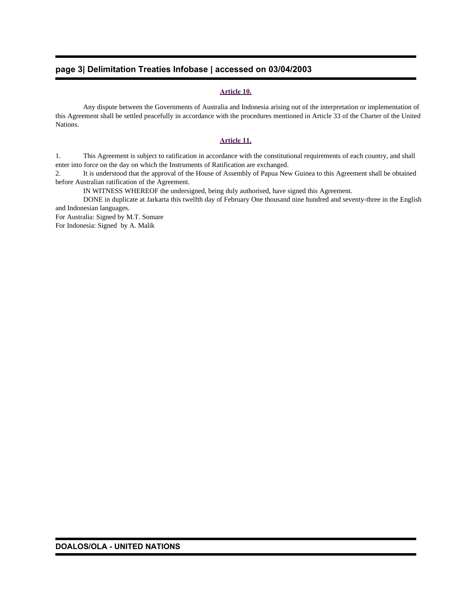## **page 3| Delimitation Treaties Infobase | accessed on 03/04/2003**

## **Article 10.**

 Any dispute between the Governments of Australia and Indonesia arising out of the interpretation or implementation of this Agreement shall be settled peacefully in accordance with the procedures mentioned in Article 33 of the Charter of the United Nations.

#### **Article 11.**

1. This Agreement is subject to ratification in accordance with the constitutional requirements of each country, and shall enter into force on the day on which the Instruments of Ratification are exchanged.

2. It is understood that the approval of the House of Assembly of Papua New Guinea to this Agreement shall be obtained before Australian ratification of the Agreement.

IN WITNESS WHEREOF the undersigned, being duly authorised, have signed this Agreement.

 DONE in duplicate at Jarkarta this twelfth day of February One thousand nine hundred and seventy-three in the English and Indonesian languages.

For Australia: Signed by M.T. Somare For Indonesia: Signed by A. Malik